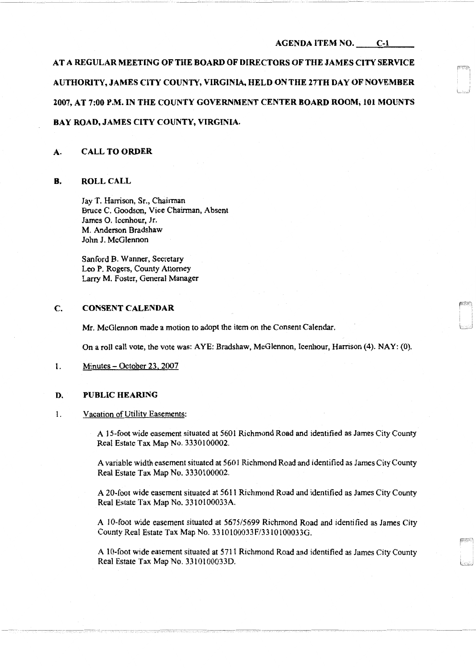## AGENDA ITEM NO. C-1

AT A REGULAR MEETING OF THE BOARD OF DIRECTORS OF THE JAMES CITY SERVICE AUTHORITY, JAMES CITY COUNTY, VIRGINIA, HELD ON THE 27TH DAY OF NOVEMBER 2007, AT 7:00 P.M. IN THE COUNTY GOVERNMENT CENTER BOARD ROOM, 101 MOUNTS BAY ROAD, JAMES CITY COUNTY, VIRGINIA.

# A. CALL TO ORDER

#### B. ROLL CALL

Jay T. Harrison, Sr., Chairman Bruce C. Goodson, Vice Chairman, Absent James 0. Icenhour, Jr. M. Anderson Bradshaw John J. McGlennon

Sanford B. Wanner, Secretary Leo P. Rogers, County Attorney Larry M. Foster, General Manager

#### C. CONSENT CALENDAR

Mr. McGlennon made a motion to adopt the item on the Consent Calendar.

On a roll call vote, the vote was: AYE: Bradshaw, McGlennon, Icenhour, Harrison (4). NAY: (0).

1. Minutes - October 23. 2007

#### D. PUBLIC HEARING

1. Vacation of Utility Easements:

A 15-foot wide easement situated at 5601 Richmond Road and identified as James City County Real Estate Tax Map No. 3330100002.

A variable width easement situated at 5601 Richmond Road and identified as James City County Real Estate Tax Map No. 3330100002.

A 20~foot wide easement situated at 5611 Richmond Road and identified as James City County Real Estate Tax Map No. 3310l00033A.

A 10-foot wide easement situated at *567515699* Richmond Road and identified as James City County Real Estate Tax Map No. 3310100033F/33 l0100033G.

A 10-foot wide easement situated at 5711 Richmond Road and identified as James City County Real Estate Tax Map No. 33101000330.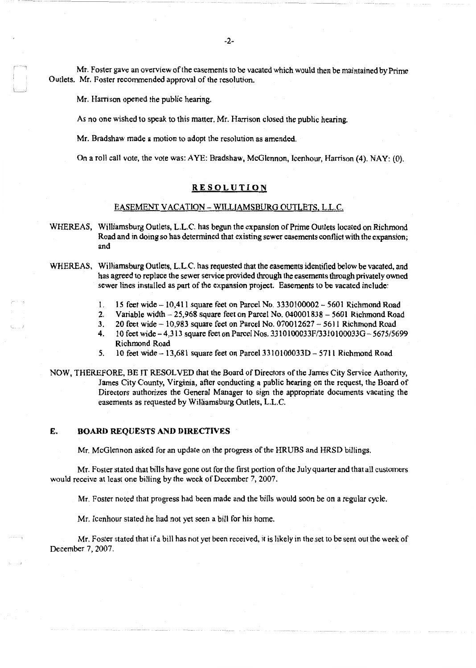Mr. Foster gave an overview of the easements to be vacated which would then be maintained by Prime Outlets. Mr. Foster recommended approval of the resolution.

Mr. Harrison opened the public hearing.

l \_\_\_ J

As no one wished to speak to this matter, Mr. Harrison closed the public hearing.

Mr. Bradshaw made a motion to adopt the resolution as amended.

On a roll call vote, the vote was: AYE: Bradshaw, McGlennon, Icenhour, Harrison (4). NAY: (0).

## RESOLUTION

## EASEMENT VACATION - WlLLIAMSBURG OUTLETS, L.L.C.

- WHEREAS, Williamsburg Outlets, L.L.C. has begun the expansion of Prime Outlets located on Richmond Road and in doing so has determined that existing sewer easements conflict with the expansion; and
- WHEREAS, Williamsburg Outlets, L.L.C. has requested that the easements identified below be vacated, and has agreed to replace the sewer service provided through the easements through privately owned sewer lines installed as part of the expansion project. Easements to be vacated include:
	- 1. 15 feet wide- 10,411 square feet on Parcel No. 3330100002 5601 Richmond Road
	- 2. Variable width  $25.968$  square feet on Parcel No. 040001838  $5601$  Richmond Road
	- 3. 20 feet wide-10,983 square feet on Parcel No. 070012627-5611 Richmond Road
	- 4. 10 feet V'tide-4,313 square feet on Parcel Nos. 3310100033F/3310100033G-5675/5699 Richmond Road
	- 5. **10 feet wide 13,681 square feet on Parcel 3310100033D 5711 Richmond Road**
- NOW, THEREFORE, BE IT RESOLVED that the Board of Directors of the James City Service Authority, James City County, Virginia, after conducting a public hearing on the request, the Board of Directors authorizes the General Manager to sign the appropriate documents vacating the easements as requested by Williamsburg Outlets, L.L.C.

#### E. BOARD REQUESTS AND DIRECTIVES

Mr. McGlennon asked for an update on the progress of the HRUBS and HRSD billings.

Mr. Foster stated that bills have gone out for the first portion of the July quarter and that all customers would receive at least one billing by the week of December 7, 2007.

Mr. Foster noted that progress had been made and the bills would soon be on a regular cycle.

Mr. Icenhour stated he had not yet seen a bill for his home.

Mr. Foster stated that if a bill has not yet been received, it is hkely in the set to be sent out the week of December 7, 2007.